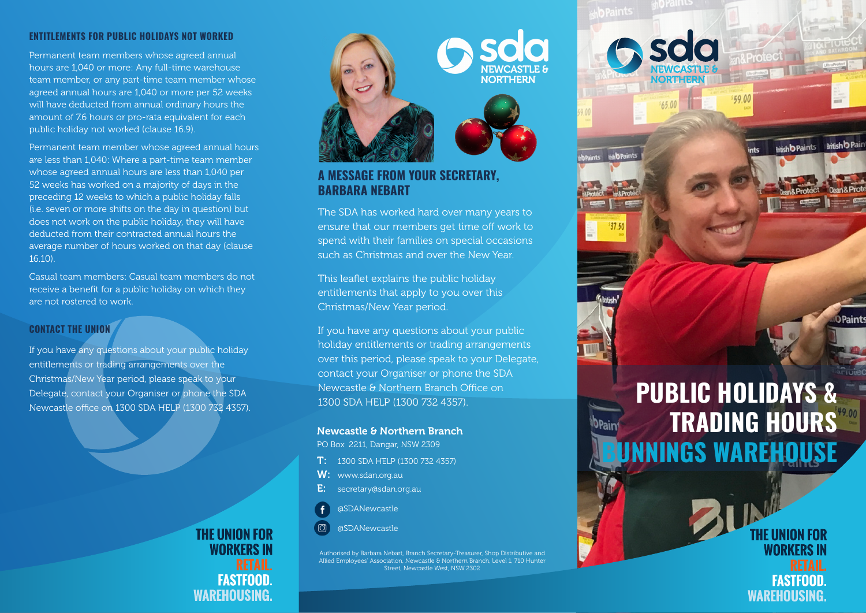#### **ENTITLEMENTS FOR PUBLIC HOLIDAYS NOT WORKED**

Permanent team members whose agreed annual hours are 1,040 or more: Any full-time warehouse team member, or any part-time team member whose agreed annual hours are 1,040 or more per 52 weeks will have deducted from annual ordinary hours the amount of 7.6 hours or pro-rata equivalent for each public holiday not worked (clause 16.9).

Permanent team member whose agreed annual hours are less than 1,040: Where a part-time team member whose agreed annual hours are less than 1,040 per 52 weeks has worked on a majority of days in the preceding 12 weeks to which a public holiday falls (i.e. seven or more shifts on the day in question) but does not work on the public holiday, they will have deducted from their contracted annual hours the average number of hours worked on that day (clause 16.10).

Casual team members: Casual team members do not receive a benefit for a public holiday on which they are not rostered to work.

# **CONTACT THE UNION**

If you have any questions about your public holiday entitlements or trading arrangements over the Christmas/New Year period, please speak to your Delegate, contact your Organiser or phone the SDA Newcastle office on 1300 SDA HELP (1300 732 4357).





**b** Paints

**HabPair** 

ints

6500

# **A MESSAGE FROM YOUR SECRETARY, BARBARA NEBART**

The SDA has worked hard over many years to ensure that our members get time off work to spend with their families on special occasions such as Christmas and over the New Year.

This leaflet explains the public holiday entitlements that apply to you over this Christmas/New Year period.

If you have any questions about your public holiday entitlements or trading arrangements over this period, please speak to your Delegate, contact your Organiser or phone the SDA Newcastle & Northern Branch Office on 1300 SDA HELP (1300 732 4357).

#### Newcastle & Northern Branch

PO Box 2211, Dangar, NSW 2309

- 1300 SDA HELP (1300 732 4357)
- W: www.sdan.org.au
- E: secretary@sdan.org.au
- @SDANewcastle

j

@SDANewcastle

Authorised by Barbara Nebart, Branch Secretary-Treasurer, Shop Distributive and Allied Employees' Association, Newcastle & Northern Branch, Level 1, 710 Hunter Street, Newcastle West, NSW 2302

# **PUBLIC HOLIDAYS & TRADING HOURS BUNNINGS WAREHOUSE**

59.00

**Rritish D Pai** 

**Intish b Paints** 

**THE UNION FOR WORKERS IN FASTFOOD WAREHOUSING.**